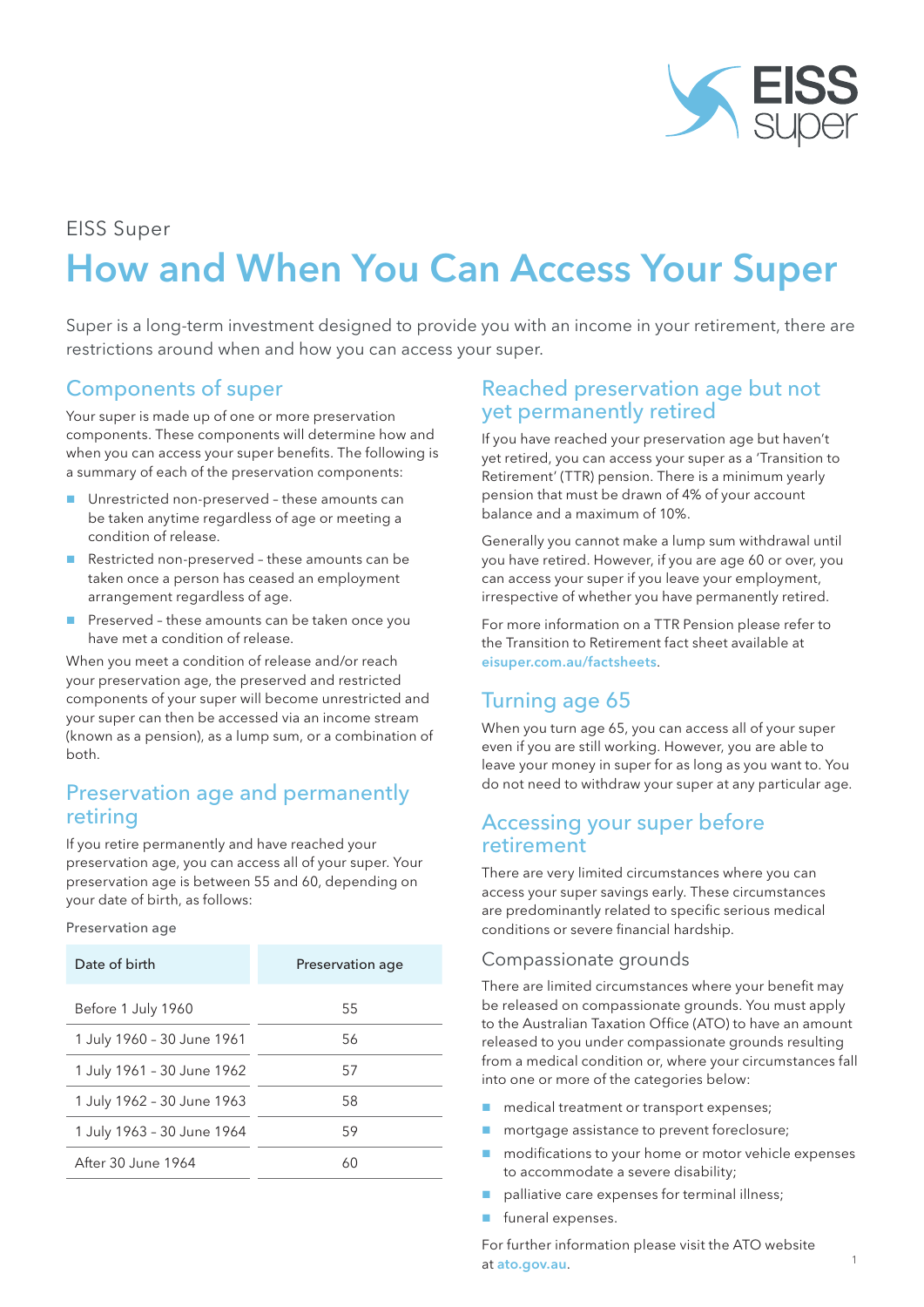

#### EISS Super

# How and When You Can Access Your Super

Super is a long-term investment designed to provide you with an income in your retirement, there are restrictions around when and how you can access your super.

# Components of super

Your super is made up of one or more preservation components. These components will determine how and when you can access your super benefits. The following is a summary of each of the preservation components:

- Unrestricted non-preserved these amounts can be taken anytime regardless of age or meeting a condition of release.
- Restricted non-preserved these amounts can be taken once a person has ceased an employment arrangement regardless of age.
- Preserved these amounts can be taken once you have met a condition of release.

When you meet a condition of release and/or reach your preservation age, the preserved and restricted components of your super will become unrestricted and your super can then be accessed via an income stream (known as a pension), as a lump sum, or a combination of both.

## Preservation age and permanently retiring

If you retire permanently and have reached your preservation age, you can access all of your super. Your preservation age is between 55 and 60, depending on your date of birth, as follows:

Preservation age

| Date of birth              | Preservation age |
|----------------------------|------------------|
| Before 1 July 1960         | 55               |
| 1 July 1960 - 30 June 1961 | 56               |
| 1 July 1961 - 30 June 1962 | 57               |
| 1 July 1962 - 30 June 1963 | 58               |
| 1 July 1963 - 30 June 1964 | 59               |
| After 30 June 1964         | 60               |

## Reached preservation age but not yet permanently retired

If you have reached your preservation age but haven't yet retired, you can access your super as a 'Transition to Retirement' (TTR) pension. There is a minimum yearly pension that must be drawn of 4% of your account balance and a maximum of 10%.

Generally you cannot make a lump sum withdrawal until you have retired. However, if you are age 60 or over, you can access your super if you leave your employment, irrespective of whether you have permanently retired.

For more information on a TTR Pension please refer to the Transition to Retirement fact sheet available at eisuper.com.au/factsheets.

# Turning age 65

When you turn age 65, you can access all of your super even if you are still working. However, you are able to leave your money in super for as long as you want to. You do not need to withdraw your super at any particular age.

### Accessing your super before retirement

There are very limited circumstances where you can access your super savings early. These circumstances are predominantly related to specific serious medical conditions or severe financial hardship.

#### Compassionate grounds

There are limited circumstances where your benefit may be released on compassionate grounds. You must apply to the Australian Taxation Office (ATO) to have an amount released to you under compassionate grounds resulting from a medical condition or, where your circumstances fall into one or more of the categories below:

- medical treatment or transport expenses;
- **n** mortgage assistance to prevent foreclosure;
- **n** modifications to your home or motor vehicle expenses to accommodate a severe disability;
- palliative care expenses for terminal illness;
- funeral expenses.

For further information please visit the ATO website at ato.gov.au.